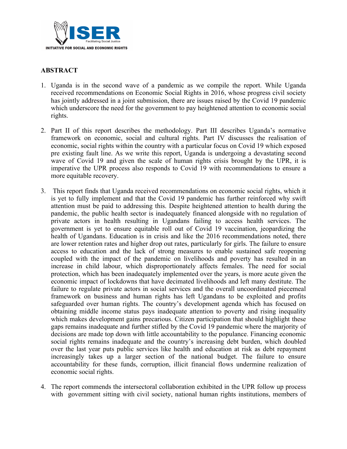

## **ABSTRACT**

- 1. Uganda is in the second wave of <sup>a</sup> pandemic as we compile the report. While Uganda received recommendations on Economic Social Rights in 2016, whose progress civil society has jointly addressed in <sup>a</sup> joint submission, there are issues raised by the Covid 19 pandemic which underscore the need for the governmen<sup>t</sup> to pay heightened attention to economic social rights.
- 2. Part II of this repor<sup>t</sup> describes the methodology. Part III describes Uganda'<sup>s</sup> normative framework on economic, social and cultural rights. Part IV discusses the realisation of economic, social rights within the country with <sup>a</sup> particular focus on Covid 19 which exposed pre existing fault line. As we write this report, Uganda is undergoing <sup>a</sup> devastating second wave of Covid 19 and given the scale of human rights crisis brought by the UPR, it is imperative the UPR process also responds to Covid 19 with recommendations to ensure <sup>a</sup> more equitable recovery.
- 3. This repor<sup>t</sup> finds that Uganda received recommendations on economic social rights, which it is ye<sup>t</sup> to fully implement and that the Covid 19 pandemic has further reinforced why swift attention must be paid to addressing this. Despite heightened attention to health during the pandemic, the public health sector is inadequately financed alongside with no regulation of private actors in health resulting in Ugandans failing to access health services. The governmen<sup>t</sup> is ye<sup>t</sup> to ensure equitable roll out of Covid 19 vaccination, jeopardizing the health of Ugandans. Education is in crisis and like the 2016 recommendations noted, there are lower retention rates and higher drop out rates, particularly for girls. The failure to ensure access to education and the lack of strong measures to enable sustained safe reopening coupled with the impact of the pandemic on livelihoods and poverty has resulted in an increase in child labour, which disproportionately affects females. The need for social protection, which has been inadequately implemented over the years, is more acute given the economic impact of lockdowns that have decimated livelihoods and left many destitute. The failure to regulate private actors in social services and the overall uncoordinated piecemeal framework on business and human rights has left Ugandans to be exploited and profits safeguarded over human rights. The country'<sup>s</sup> development agenda which has focused on obtaining middle income status pays inadequate attention to poverty and rising inequality which makes development gains precarious. Citizen participation that should highlight these gaps remains inadequate and further stifled by the Covid 19 pandemic where the marjority of decisions are made top down with little accountability to the populance. Financing economic social rights remains inadequate and the country'<sup>s</sup> increasing debt burden, which doubled over the last year puts public services like health and education at risk as debt repaymen<sup>t</sup> increasingly takes up <sup>a</sup> larger section of the national budget. The failure to ensure accountability for these funds, corruption, illicit financial flows undermine realization of economic social rights.
- 4. The repor<sup>t</sup> commends the intersectoral collaboration exhibited in the UPR follow up process with governmen<sup>t</sup> sitting with civil society, national human rights institutions, members of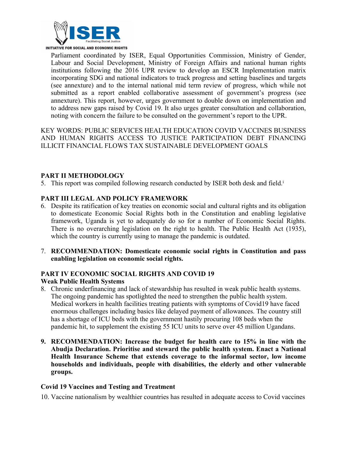

Parliament coordinated by ISER, Equal Opportunities Commission, Ministry of Gender, Labour and Social Development, Ministry of Foreign Affairs and national human rights institutions following the 2016 UPR review to develop an ESCR Implementation matrix incorporating SDG and national indicators to track progress and setting baselines and targets (see annexture) and to the internal national mid term review of progress, which while not submitted as <sup>a</sup> repor<sup>t</sup> enabled collaborative assessment of government'<sup>s</sup> progress (see annexture). This report, however, urges governmen<sup>t</sup> to double down on implementation and to address new gaps raised by Covid 19. It also urges greater consultation and collaboration, noting with concern the failure to be consulted on the government'<sup>s</sup> repor<sup>t</sup> to the UPR.

KEY WORDS: PUBLIC SERVICES HEALTH EDUCATION COVID VACCINES BUSINESS AND HUMAN RIGHTS ACCESS TO JUSTICE PARTICIPATION DEBT FINANCING ILLICIT FINANCIAL FLOWS TAX SUSTAINABLE DEVELOPMENT GOALS

## **PART II METHODOLOGY**

5. This report was compiled following research conducted by ISER both desk and field.<sup>i</sup>

## **PART III LEGAL AND POLICY FRAMEWORK**

- 6. Despite its ratification of key treaties on economic social and cultural rights and its obligation to domesticate Economic Social Rights both in the Constitution and enabling legislative framework, Uganda is ye<sup>t</sup> to adequately do so for <sup>a</sup> number of Economic Social Rights. There is no overarching legislation on the right to health. The Public Health Act (1935), which the country is currently using to manage the pandemic is outdated.
- 7. **RECOMMENDATION: Domesticate economic social rights in Constitution and pass enabling legislation on economic social rights.**

## **PART IV ECONOMIC SOCIAL RIGHTS AND COVID 19 Weak Public Health Systems**

- 8. Chronic underfinancing and lack of stewardship has resulted in weak public health systems. The ongoing pandemic has spotlighted the need to strengthen the public health system. Medical workers in health facilities treating patients with symptoms of Covid19 have faced enormous challenges including basics like delayed paymen<sup>t</sup> of allowances. The country still has <sup>a</sup> shortage of ICU beds with the governmen<sup>t</sup> hastily procuring 108 beds when the pandemic hit, to supplement the existing 55 ICU units to serve over 45 million Ugandans.
- **9. RECOMMENDATION: Increase the budget for health care to 15% in line with the Abudja Declaration. Prioritise and steward the public health system. Enact <sup>a</sup> National Health Insurance Scheme that extends coverage to the informal sector, low income households and individuals, people with disabilities, the elderly and other vulnerable groups.**

#### **Covid 19 Vaccines and Testing and Treatment**

10. Vaccine nationalism by wealthier countries has resulted in adequate access to Covid vaccines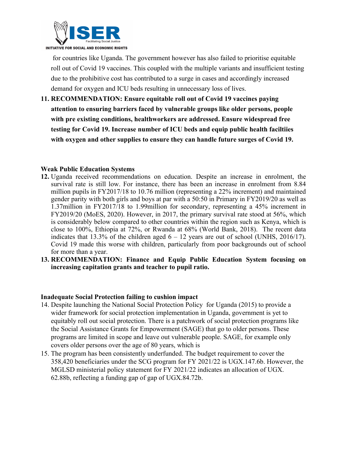

for countries like Uganda. The governmen<sup>t</sup> however has also failed to prioritise equitable roll out of Covid 19 vaccines. This coupled with the multiple variants and insufficient testing due to the prohibitive cost has contributed to <sup>a</sup> surge in cases and accordingly increased demand for oxygen and ICU beds resulting in unnecessary loss of lives.

**11. RECOMMENDATION: Ensure equitable roll out of Covid 19 vaccines paying attention to ensuring barriers faced by vulnerable groups like older persons, people with pre existing conditions, healthworkers are addressed. Ensure widespread free testing for Covid 19. Increase number of ICU beds and equip public health faciltiies with oxygen and other supplies to ensure they can handle future surges of Covid 19.**

#### **Weak Public Education Systems**

- **12.** Uganda received recommendations on education. Despite an increase in enrolment, the survival rate is still low. For instance, there has been an increase in enrolment from 8.84 million pupils in FY2017/18 to 10.76 million (representing <sup>a</sup> 22% increment) and maintained gender parity with both girls and boys at par with <sup>a</sup> 50:50 in Primary in FY2019/20 as well as 1.37million in FY2017/18 to 1.99million for secondary, representing <sup>a</sup> 45% increment in FY2019/20 (MoES, 2020). However, in 2017, the primary survival rate stood at 56%, which is considerably below compared to other countries within the region such as Kenya, which is close to 100%, Ethiopia at 72%, or Rwanda at 68% (World Bank, 2018). The recent data indicates that 13.3% of the children aged  $6 - 12$  years are out of school (UNHS, 2016/17). Covid 19 made this worse with children, particularly from poor backgrounds out of school for more than <sup>a</sup> year.
- **13. RECOMMENDATION: Finance and Equip Public Education System focusing on increasing capitation grants and teacher to pupil ratio.**

#### **Inadequate Social Protection failing to cushion impact**

- 14. Despite launching the National Social Protection Policy for Uganda (2015) to provide <sup>a</sup> wider framework for social protection implementation in Uganda, governmen<sup>t</sup> is ye<sup>t</sup> to equitably roll out social protection. There is <sup>a</sup> patchwork of social protection programs like the Social Assistance Grants for Empowerment (SAGE) that go to older persons. These programs are limited in scope and leave out vulnerable people. SAGE, for example only covers older persons over the age of 80 years, which is
- 15. The program has been consistently underfunded. The budget requirement to cover the 358,420 beneficiaries under the SCG program for FY 2021/22 is UGX.147.6b. However, the MGLSD ministerial policy statement for FY 2021/22 indicates an allocation of UGX. 62.88b, reflecting <sup>a</sup> funding gap of gap of UGX.84.72b.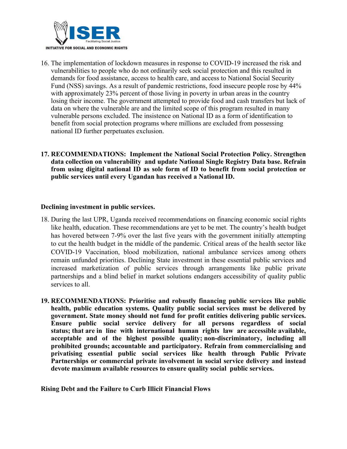

16. The implementation of lockdown measures in response to COVID-19 increased the risk and vulnerabilities to people who do not ordinarily seek social protection and this resulted in demands for food assistance, access to health care, and access to National Social Security Fund (NSS) savings. As <sup>a</sup> result of pandemic restrictions, food insecure people rose by 44% with approximately 23% percent of those living in poverty in urban areas in the country losing their income. The governmen<sup>t</sup> attempted to provide food and cash transfers but lack of data on where the vulnerable are and the limited scope of this program resulted in many vulnerable persons excluded. The insistence on National ID as <sup>a</sup> form of identification to benefit from social protection programs where millions are excluded from possessing national ID further perpetuates exclusion.

#### **17. RECOMMENDATIONS: Implement the National Social Protection Policy. Strengthen data collection on vulnerability and update National Single Registry Data base. Refrain from using digital national ID as sole form of ID to benefit from social protection or public services until every Ugandan has received <sup>a</sup> National ID.**

#### **Declining investment in public services.**

- 18. During the last UPR, Uganda received recommendations on financing economic social rights like health, education. These recommendations are ye<sup>t</sup> to be met. The country'<sup>s</sup> health budget has hovered between 7-9% over the last five years with the governmen<sup>t</sup> initially attempting to cut the health budget in the middle of the pandemic. Critical areas of the health sector like COVID-19 Vaccination, blood mobilization, national ambulance services among others remain unfunded priorities. Declining State investment in these essential public services and increased marketization of public services through arrangements like public private partnerships and <sup>a</sup> blind belief in market solutions endangers accessibility of quality public services to all.
- **19. RECOMMENDATIONS: Prioritise and robustly financing public services like public health, public education systems. Quality public social services must be delivered by government. State money should not fund for profit entities delivering public services. Ensure public social service delivery for all persons regardless of social status; that are in line with international human rights law are accessible available, acceptable and of the highest possible quality; non-discriminatory, including all prohibited grounds; accountable and participatory. Refrain from commercialising and privatising essential public social services like health through Public Private Partnerships or commercial private involvement in social service delivery and instead devote maximum available resources to ensure quality social public services.**

4

**Rising Debt and the Failure to Curb Illicit Financial Flows**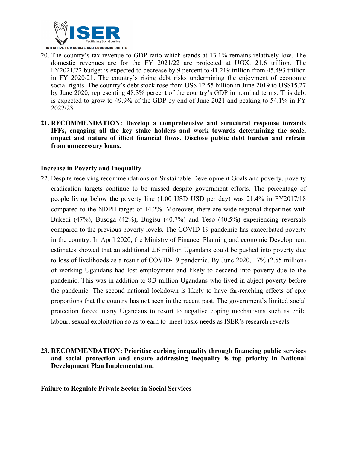

- 20. The country'<sup>s</sup> tax revenue to GDP ratio which stands at 13.1% remains relatively low. The domestic revenues are for the FY 2021/22 are projected at UGX. 21.6 trillion. The FY2021/22 budget is expected to decrease by 9 percen<sup>t</sup> to 41.219 trillion from 45.493 trillion in FY 2020/21. The country'<sup>s</sup> rising debt risks undermining the enjoyment of economic social rights. The country'<sup>s</sup> debt stock rose from US\$ 12.55 billion in June 2019 to US\$15.27 by June 2020, representing 48.3% percen<sup>t</sup> of the country'<sup>s</sup> GDP in nominal terms. This debt is expected to grow to 49.9% of the GDP by end of June 2021 and peaking to 54.1% in FY 2022/23.
- **21. RECOMMENDATION: Develop <sup>a</sup> comprehensive and structural response towards IFFs, engaging all the key stake holders and work towards determining the scale, impact and nature of illicit financial flows. Disclose public debt burden and refrain from unnecessary loans.**

#### **Increase in Poverty and Inequality**

22. Despite receiving recommendations on Sustainable Development Goals and poverty, poverty eradication targets continue to be missed despite governmen<sup>t</sup> efforts. The percentage of people living below the poverty line (1.00 USD USD per day) was 21.4% in FY2017/18 compared to the NDPII target of 14.2%. Moreover, there are wide regional disparities with Bukedi (47%), Busoga (42%), Bugisu (40.7%) and Teso (40.5%) experiencing reversals compared to the previous poverty levels. The COVID-19 pandemic has exacerbated poverty in the country. In April 2020, the Ministry of Finance, Planning and economic Development estimates showed that an additional 2.6 million Ugandans could be pushed into poverty due to loss of livelihoods as <sup>a</sup> result of COVID-19 pandemic. By June 2020, 17% (2.55 million) of working Ugandans had lost employment and likely to descend into poverty due to the pandemic. This was in addition to 8.3 million Ugandans who lived in abject poverty before the pandemic. The second national lockdown is likely to have far-reaching effects of epic proportions that the country has not seen in the recent past. The government'<sup>s</sup> limited social protection forced many Ugandans to resort to negative coping mechanisms such as child labour, sexual exploitation so as to earn to meet basic needs as ISER'<sup>s</sup> research reveals.

## **23. RECOMMENDATION: Prioritise curbing inequality through financing public services and social protection and ensure addressing inequality is top priority in National Development Plan Implementation.**

**Failure to Regulate Private Sector in Social Services**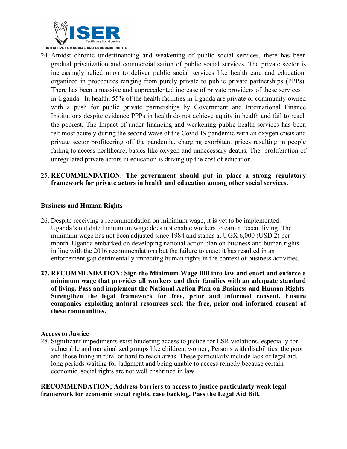

24. Amidst chronic underfinancing and weakening of public social services, there has been gradual privatization and commercialization of public social services. The private sector is increasingly relied upon to deliver public social services like health care and education, organized in procedures ranging from purely private to public private partnerships (PPPs). There has been <sup>a</sup> massive and unprecedented increase of private providers of these services – in Uganda. In health, 55% of the health facilities in Uganda are private or community owned with <sup>a</sup> push for public private partnerships by Government and International Finance Institutions despite evidence PPPs in health do not [achieve](https://www.iser-uganda.org/publications/reports/397-achieving-equity-in-health-are-public-private-partnerships-the-solution) equity in health and fail to [reach](https://www.iser-uganda.org/publications/reports/437-failing-to-reach-the-poorest-assessment-of-the-world-bank-funded-uganda-reproductive-health-voucher-project-report) the [poores](https://www.iser-uganda.org/publications/reports/437-failing-to-reach-the-poorest-assessment-of-the-world-bank-funded-uganda-reproductive-health-voucher-project-report)t. The Impact of under financing and weakening public health services has been felt most acutely during the second wave of the Covid 19 pandemic with an [oxygen](https://www.iser-uganda.org/publications/policy-and-advocacy-briefs/494-how-did-we-get-here-uganda-s-medical-oxygen-crisis) crisis and private sector profiteering off the [pandemic](https://www.iser-uganda.org/publications/policy-and-advocacy-briefs/496-profiteering-off-a-pandemic-private-sector-and-health-services-in-uganda-during-covid), charging exorbitant prices resulting in people failing to access healthcare, basics like oxygen and unnecessary deaths. The proliferation of unregulated private actors in education is driving up the cost of education.

#### 25. **RECOMMENDATION. The government should put in place <sup>a</sup> strong regulatory framework for private actors in health and education among other social services.**

### **Business and Human Rights**

- 26. Despite receiving <sup>a</sup> recommendation on minimum wage, it is ye<sup>t</sup> to be implemented. Uganda'<sup>s</sup> out dated minimum wage does not enable workers to earn <sup>a</sup> decent living. The minimum wage has not been adjusted since 1984 and stands at UGX 6,000 (USD 2) per month. Uganda embarked on developing national action plan on business and human rights in line with the 2016 recommendations but the failure to enact it has resulted in an enforcement gap detrimentally impacting human rights in the context of business activities.
- **27. RECOMMENDATION: Sign the Minimum Wage Bill into law and enact and enforce <sup>a</sup> minimum wage that provides all workers and their families with an adequate standard of living. Pass and implement the National Action Plan on Business and Human Rights. Strengthen the legal framework for free, prior and informed consent. Ensure companies exploiting natural resources seek the free, prior and informed consent of these communities.**

#### **Access to Justice**

28. Significant impediments exist hindering access to justice for ESR violations, especially for vulnerable and marginalized groups like children, women, Persons with disabilities, the poor and those living in rural or hard to reach areas. These particularly include lack of legal aid, long periods waiting for judgment and being unable to access remedy because certain economic social rights are not well enshrined in law.

**RECOMMENDATION; Address barriers to access to justice particularly weak legal framework for economic social rights, case backlog. Pass the Legal Aid Bill.**